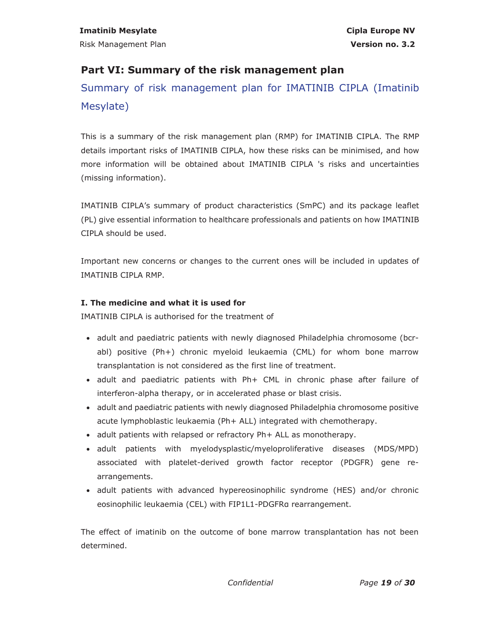# **Part VI: Summary of the risk management plan**

Summary of risk management plan for IMATINIB CIPLA (Imatinib Mesylate)

This is a summary of the risk management plan (RMP) for IMATINIB CIPLA. The RMP details important risks of IMATINIB CIPLA, how these risks can be minimised, and how more information will be obtained about IMATINIB CIPLA 's risks and uncertainties (missing information).

IMATINIB CIPLA's summary of product characteristics (SmPC) and its package leaflet (PL) give essential information to healthcare professionals and patients on how IMATINIB CIPLA should be used.

Important new concerns or changes to the current ones will be included in updates of IMATINIB CIPLA RMP.

### **I. The medicine and what it is used for**

IMATINIB CIPLA is authorised for the treatment of

- adult and paediatric patients with newly diagnosed Philadelphia chromosome (bcrabl) positive (Ph+) chronic myeloid leukaemia (CML) for whom bone marrow transplantation is not considered as the first line of treatment.
- adult and paediatric patients with Ph+ CML in chronic phase after failure of interferon-alpha therapy, or in accelerated phase or blast crisis.
- adult and paediatric patients with newly diagnosed Philadelphia chromosome positive acute lymphoblastic leukaemia (Ph+ ALL) integrated with chemotherapy.
- adult patients with relapsed or refractory Ph+ ALL as monotherapy.
- x adult patients with myelodysplastic/myeloproliferative diseases (MDS/MPD) associated with platelet-derived growth factor receptor (PDGFR) gene rearrangements.
- adult patients with advanced hypereosinophilic syndrome (HES) and/or chronic eosinophilic leukaemia (CEL) with FIP1L1-PDGFRα rearrangement.

The effect of imatinib on the outcome of bone marrow transplantation has not been determined.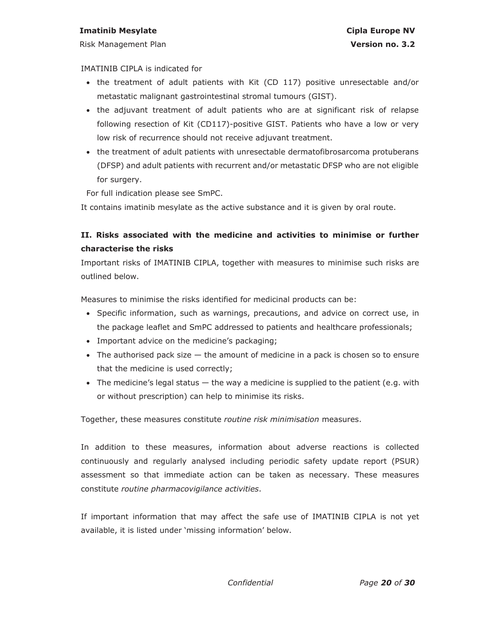#### **Imatinib Mesylate Cipla Europe NV Cipla Europe NV**

Risk Management Plan **Version no. 3.2** 

### IMATINIB CIPLA is indicated for

- the treatment of adult patients with Kit (CD 117) positive unresectable and/or metastatic malignant gastrointestinal stromal tumours (GIST).
- the adjuvant treatment of adult patients who are at significant risk of relapse following resection of Kit (CD117)-positive GIST. Patients who have a low or very low risk of recurrence should not receive adjuvant treatment.
- the treatment of adult patients with unresectable dermatofibrosarcoma protuberans (DFSP) and adult patients with recurrent and/or metastatic DFSP who are not eligible for surgery.

For full indication please see SmPC.

It contains imatinib mesylate as the active substance and it is given by oral route.

## **II. Risks associated with the medicine and activities to minimise or further characterise the risks**

Important risks of IMATINIB CIPLA, together with measures to minimise such risks are outlined below.

Measures to minimise the risks identified for medicinal products can be:

- Specific information, such as warnings, precautions, and advice on correct use, in the package leaflet and SmPC addressed to patients and healthcare professionals;
- Important advice on the medicine's packaging;
- $\bullet$  The authorised pack size  $-$  the amount of medicine in a pack is chosen so to ensure that the medicine is used correctly;
- $\bullet$  The medicine's legal status  $-$  the way a medicine is supplied to the patient (e.g. with or without prescription) can help to minimise its risks.

Together, these measures constitute *routine risk minimisation* measures.

In addition to these measures, information about adverse reactions is collected continuously and regularly analysed including periodic safety update report (PSUR) assessment so that immediate action can be taken as necessary. These measures constitute *routine pharmacovigilance activities*.

If important information that may affect the safe use of IMATINIB CIPLA is not yet available, it is listed under 'missing information' below.